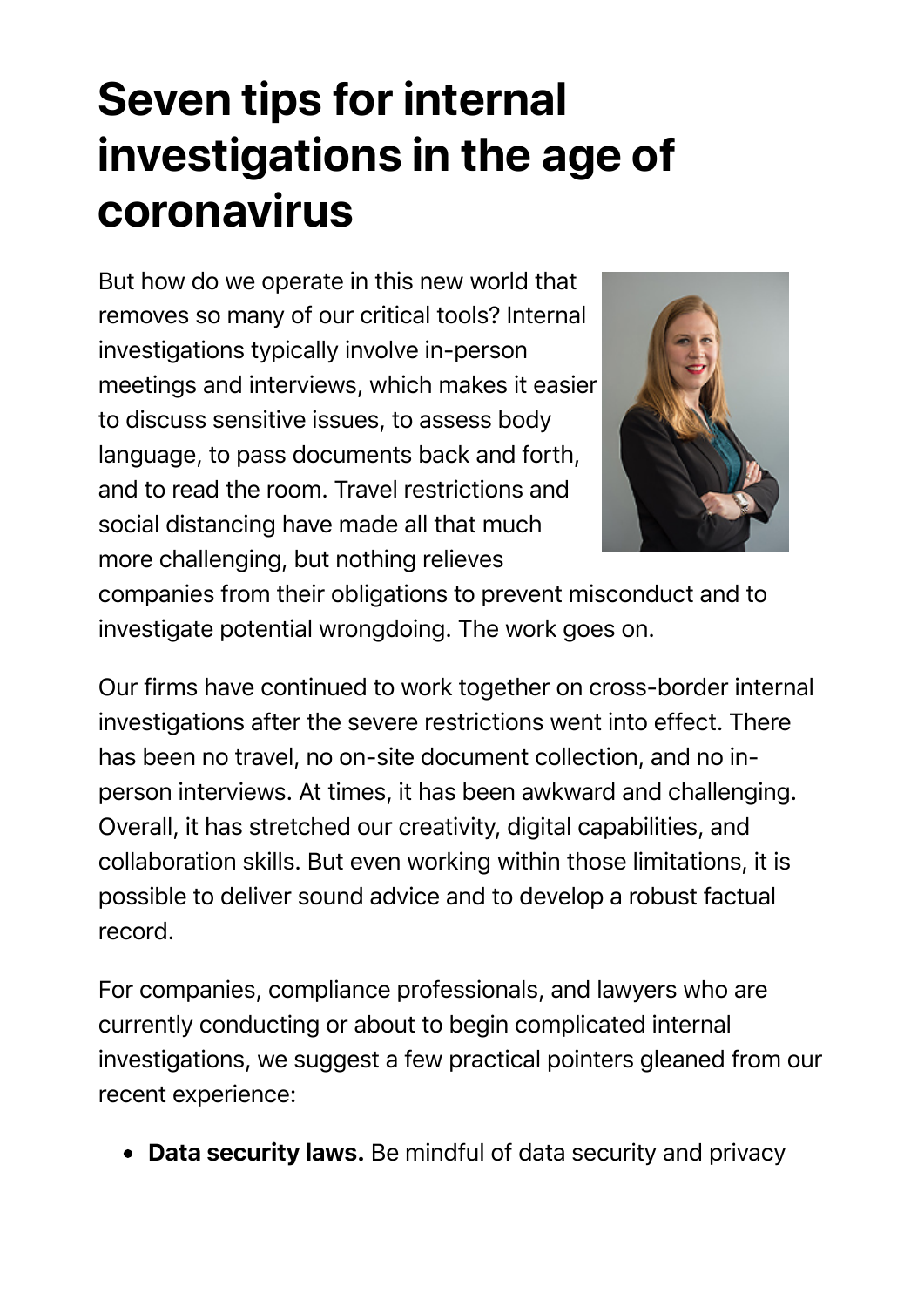## **Seven tips for internal investigations in the age of coronavirus**

But how do we operate in this new world that removes so many of our critical tools? Internal investigations typically involve in-person meetings and interviews, which makes it easier to discuss sensitive issues, to assess body language, to pass documents back and forth, and to read the room. Travel restrictions and social distancing have made all that much more challenging, but nothing relieves



companies from their obligations to prevent misconduct and to investigate potential wrongdoing. The work goes on.

Our firms have continued to work together on cross-border internal investigations after the severe restrictions went into effect. There has been no travel, no on-site document collection, and no inperson interviews. At times, it has been awkward and challenging. Overall, it has stretched our creativity, digital capabilities, and collaboration skills. But even working within those limitations, it is possible to deliver sound advice and to develop a robust factual record.

For companies, compliance professionals, and lawyers who are currently conducting or about to begin complicated internal investigations, we suggest a few practical pointers gleaned from our recent experience:

• Data security laws. Be mindful of data security and privacy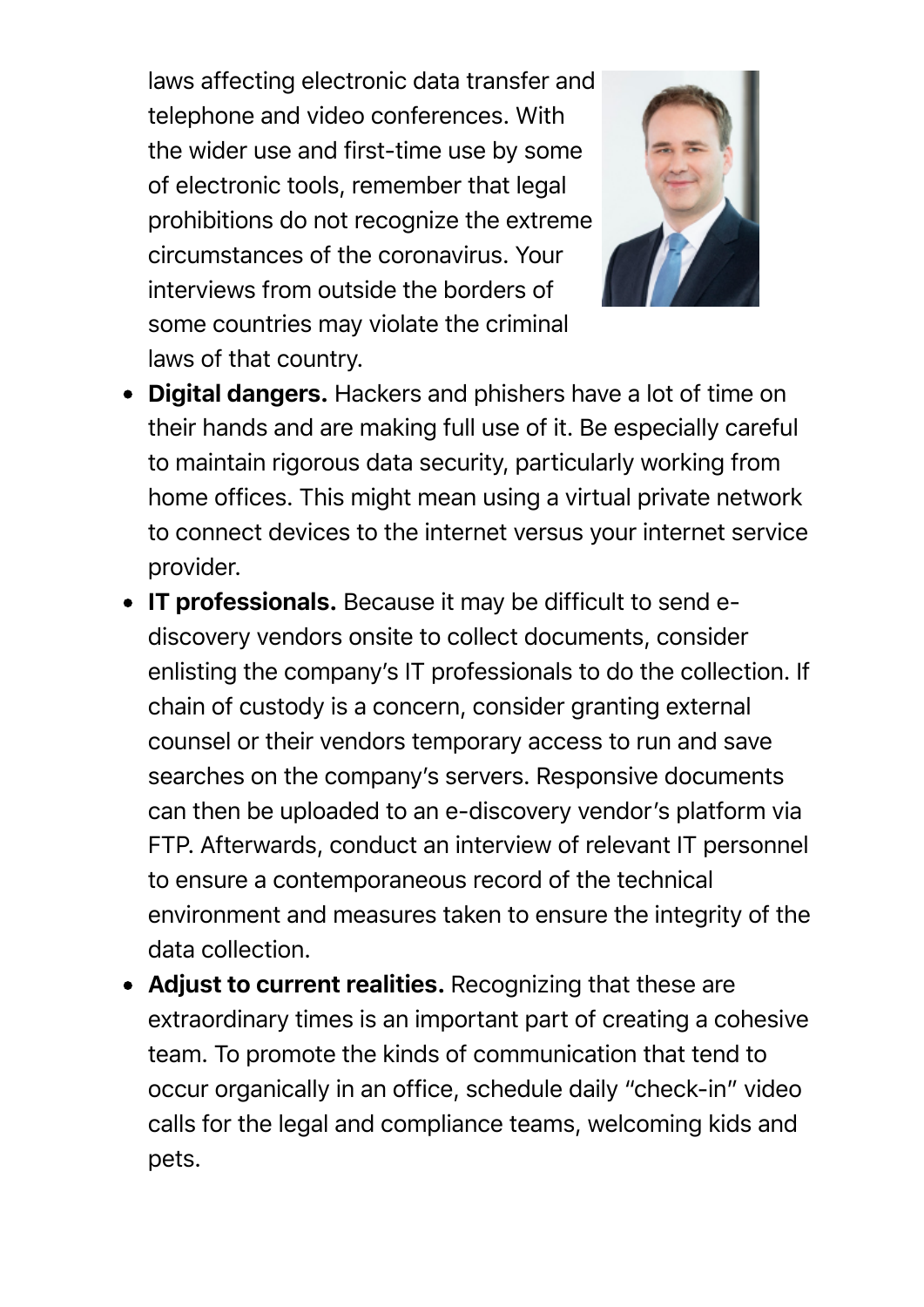laws affecting electronic data transfer and telephone and video conferences. With the wider use and first-time use by some of electronic tools, remember that legal prohibitions do not recognize the extreme circumstances of the coronavirus. Your interviews from outside the borders of some countries may violate the criminal laws of that country.



- Digital dangers. Hackers and phishers have a lot of time on their hands and are making full use of it. Be especially careful to maintain rigorous data security, particularly working from home offices. This might mean using a virtual private network to connect devices to the internet versus your internet service provider.
- IT professionals. Because it may be difficult to send ediscovery vendors onsite to collect documents, consider enlisting the company's IT professionals to do the collection. If chain of custody is a concern, consider granting external counsel or their vendors temporary access to run and save searches on the company's servers. Responsive documents can then be uploaded to an e-discovery vendor's platform via FTP. Afterwards, conduct an interview of relevant IT personnel to ensure a contemporaneous record of the technical environment and measures taken to ensure the integrity of the data collection.
- Adjust to current realities. Recognizing that these are extraordinary times is an important part of creating a cohesive team. To promote the kinds of communication that tend to occur organically in an office, schedule daily "check-in" video calls for the legal and compliance teams, welcoming kids and pets.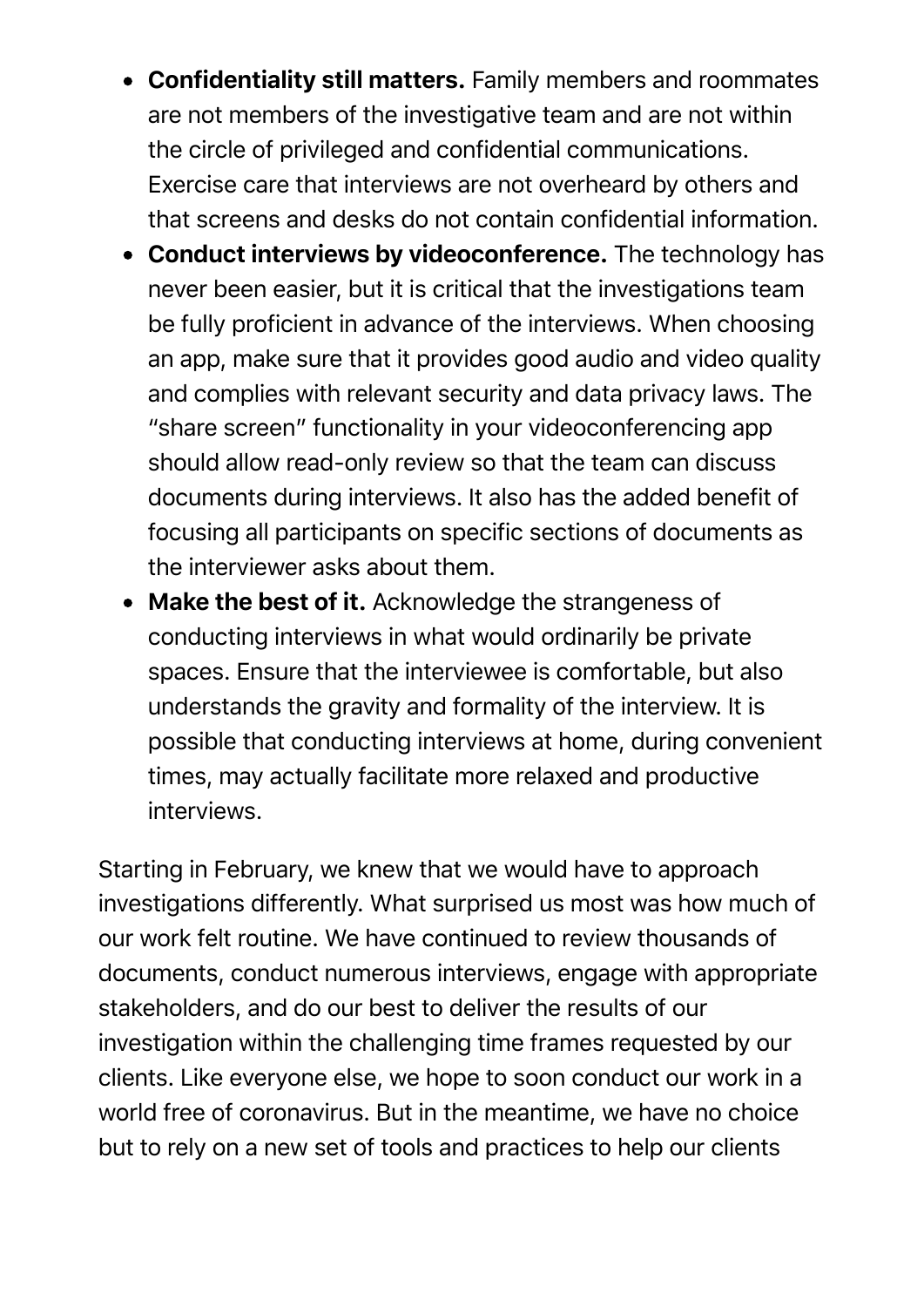- Confidentiality still matters. Family members and roommates are not members of the investigative team and are not within the circle of privileged and confidential communications. Exercise care that interviews are not overheard by others and that screens and desks do not contain confidential information.
- Conduct interviews by videoconference. The technology has never been easier, but it is critical that the investigations team be fully proficient in advance of the interviews. When choosing an app, make sure that it provides good audio and video quality and complies with relevant security and data privacy laws. The "share screen" functionality in your videoconferencing app should allow read-only review so that the team can discuss documents during interviews. It also has the added benefit of focusing all participants on specific sections of documents as the interviewer asks about them.
- Make the best of it. Acknowledge the strangeness of conducting interviews in what would ordinarily be private spaces. Ensure that the interviewee is comfortable, but also understands the gravity and formality of the interview. It is possible that conducting interviews at home, during convenient times, may actually facilitate more relaxed and productive interviews.

Starting in February, we knew that we would have to approach investigations differently. What surprised us most was how much of our work felt routine. We have continued to review thousands of documents, conduct numerous interviews, engage with appropriate stakeholders, and do our best to deliver the results of our investigation within the challenging time frames requested by our clients. Like everyone else, we hope to soon conduct our work in a world free of coronavirus. But in the meantime, we have no choice but to rely on a new set of tools and practices to help our clients